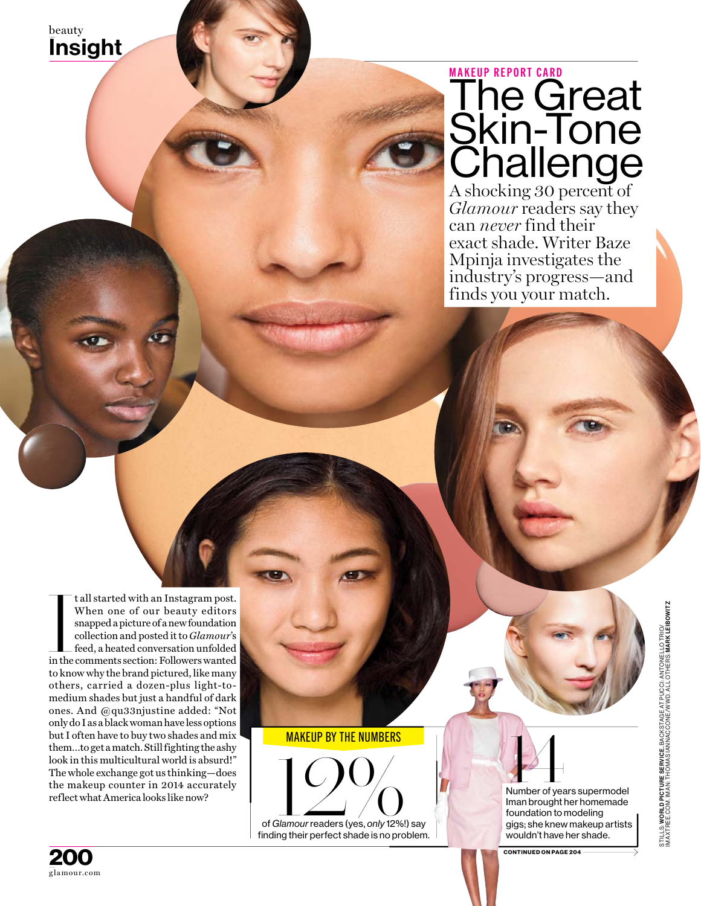beauty **Insight** 

## MAKEUP REPORT CARD Skin-Tone **Challenge** A shocking 30 percent of

*Glamour* readers say they can *never* find their exact shade. Writer Baze Mpinja investigates the industry's progress—and finds you your match.

t all started with an Instagram post.<br>
When one of our beauty editors<br>
snapped a picture of a new foundation<br>
collection and posted it to *Glamour's*<br>
feed, a heated conversation unfolded<br>
in the comments section: Follower t all started with an Instagram post. When one of our beauty editors snapped a picture of a new foundation collection and posted it to *Glamour*'s feed, a heated conversation unfolded to know why the brand pictured, like many others, carried a dozen-plus light-tomedium shades but just a handful of dark ones. And @qu33njustine added: "Not only do I as a black woman have less options but I often have to buy two shades and mix them…to get a match. Still fighting the ashy look in this multicultural world is absurd!" The whole exchange got us thinking—does the makeup counter in 2014 accurately reflect what America looks like now?

MAKEUP BY THE NUMBERS

of *Glamour* readers (yes, *only* 12%!) say finding their perfect shade is no problem.

Number of years supermodel<br>
Number of years supermodel<br>
Iman brought her homemade<br>
foundation to modeling<br>
gigs; she knew makeup artists Number of years supermodel Iman brought her homemade foundation to modeling gigs; she knew makeup artists World De Man Drought her homemade<br>Number of years supermodel<br>foundation to modeling<br>gigs, she knew makeup artists<br>wouldn't have her shade.

**CONTINUED ON PAGE 204**

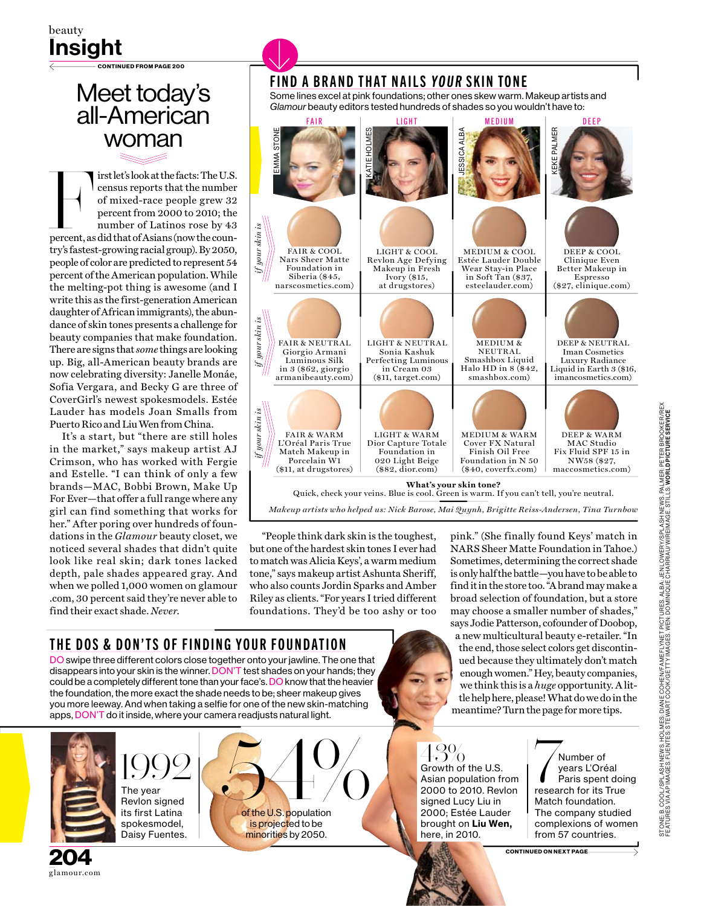#### beauty Insight **CONTINUED FROM PAGE 200**

Meet today's all-American woman

Instead of Asian September 2000 to 2010; the mumber of mixed-race people grew 32 percent from 2000 to 2010; the number of Latinos rose by 43 percent, as did that of Asians (now the counirst let's look at the facts: The U.S. census reports that the number of mixed-race people grew 32 percent from 2000 to 2010; the number of Latinos rose by 43 try's fastest-growing racial group). By 2050, people of color are predicted to represent 54 percent of the American population. While the melting-pot thing is awesome (and I write this as the first-generation American daughter of African immigrants), the abundance of skin tones presents a challenge for beauty companies that make foundation. There are signs that *some* things are looking up. Big, all-American beauty brands are now celebrating diversity: Janelle Monáe, Sofia Vergara, and Becky G are three of CoverGirl's newest spokesmodels. Estée Lauder has models Joan Smalls from Puerto Rico and Liu Wen from China.

It's a start, but "there are still holes in the market," says makeup artist AJ Crimson, who has worked with Fergie and Estelle. "I can think of only a few brands—MAC, Bobbi Brown, Make Up For Ever—that offer a full range where any girl can find something that works for her." After poring over hundreds of foundations in the *Glamour* beauty closet, we noticed several shades that didn't quite look like real skin; dark tones lacked depth, pale shades appeared gray. And when we polled 1,000 women on glamour .com, 30 percent said they're never able to find their exact shade. *Never*.

THE DOS & DON'TS OF FINDING YOUR FOUNDATION DO swipe three different colors close together onto your jawline. The one that disappears into your skin is the winner. DON'T test shades on your hands; they could be a completely different tone than your face's. DO know that the heavier the foundation, the more exact the shade needs to be; sheer makeup gives you more leeway. And when taking a selfie for one of the new skin-matching apps, DON'T do it inside, where your camera readjusts natural light.

#### FIND A BRAND THAT NAILS YOUR SKIN TONE

Some lines excel at pink foundations; other ones skew warm. Makeup artists and *Glamour* beauty editors tested hundreds of shades so you wouldn't have to:



"People think dark skin is the toughest, but one of the hardest skin tones I ever had to match was Alicia Keys', a warm medium tone," says makeup artist Ashunta Sheriff, who also counts Jordin Sparks and Amber Riley as clients. "For years I tried different foundations. They'd be too ashy or too

pink." (She finally found Keys' match in NARS Sheer Matte Foundation in Tahoe.) Sometimes, determining the correct shade is only half the battle—you have to be able to find it in the store too. "A brand may make a broad selection of foundation, but a store may choose a smaller number of shades," says Jodie Patterson, cofounder of Doobop,

a new multicultural beauty e-retailer. "In the end, those select colors get discontinued because they ultimately don't match enough women." Hey, beauty companies, we think this is a *huge* opportunity. A little help here, please! What do we do in the meantime? Turn the page for more tips.

# **204**

glamour.com





Growth of the U.S. Asian population from 2000 to 2010. Revlon signed Lucy Liu in 2000; Estée Lauder brought on **Liu Wen,** here, in 2010.

Number of<br>
years L'Oréal<br>
Paris spent doir<br>
research for its True years L'Oréal Paris spent doing Match foundation. The company studied complexions of women from 57 countries.

**CONTINUED ON NEXT PAGE**